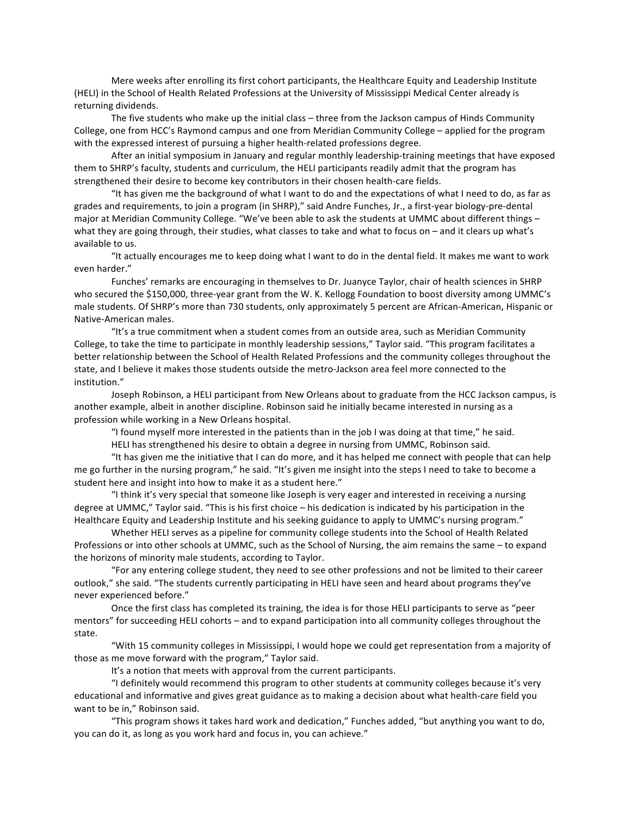Mere weeks after enrolling its first cohort participants, the Healthcare Equity and Leadership Institute (HELI) in the School of Health Related Professions at the University of Mississippi Medical Center already is returning dividends.

The five students who make up the initial class – three from the Jackson campus of Hinds Community College, one from HCC's Raymond campus and one from Meridian Community College – applied for the program with the expressed interest of pursuing a higher health-related professions degree.

After an initial symposium in January and regular monthly leadership-training meetings that have exposed them to SHRP's faculty, students and curriculum, the HELI participants readily admit that the program has strengthened their desire to become key contributors in their chosen health-care fields.

"It has given me the background of what I want to do and the expectations of what I need to do, as far as grades and requirements, to join a program (in SHRP)," said Andre Funches, Jr., a first‐year biology‐pre‐dental major at Meridian Community College. "We've been able to ask the students at UMMC about different things – what they are going through, their studies, what classes to take and what to focus on – and it clears up what's available to us.

"It actually encourages me to keep doing what I want to do in the dental field. It makes me want to work even harder."

Funches' remarks are encouraging in themselves to Dr. Juanyce Taylor, chair of health sciences in SHRP who secured the \$150,000, three-year grant from the W. K. Kellogg Foundation to boost diversity among UMMC's male students. Of SHRP's more than 730 students, only approximately 5 percent are African‐American, Hispanic or Native‐American males.

"It's a true commitment when a student comes from an outside area, such as Meridian Community College, to take the time to participate in monthly leadership sessions," Taylor said. "This program facilitates a better relationship between the School of Health Related Professions and the community colleges throughout the state, and I believe it makes those students outside the metro‐Jackson area feel more connected to the institution."

Joseph Robinson, a HELI participant from New Orleans about to graduate from the HCC Jackson campus, is another example, albeit in another discipline. Robinson said he initially became interested in nursing as a profession while working in a New Orleans hospital.

"I found myself more interested in the patients than in the job I was doing at that time," he said.

HELI has strengthened his desire to obtain a degree in nursing from UMMC, Robinson said.

"It has given me the initiative that I can do more, and it has helped me connect with people that can help me go further in the nursing program," he said. "It's given me insight into the steps I need to take to become a student here and insight into how to make it as a student here."

"I think it's very special that someone like Joseph is very eager and interested in receiving a nursing degree at UMMC," Taylor said. "This is his first choice – his dedication is indicated by his participation in the Healthcare Equity and Leadership Institute and his seeking guidance to apply to UMMC's nursing program."

Whether HELI serves as a pipeline for community college students into the School of Health Related Professions or into other schools at UMMC, such as the School of Nursing, the aim remains the same – to expand the horizons of minority male students, according to Taylor.

"For any entering college student, they need to see other professions and not be limited to their career outlook," she said. "The students currently participating in HELI have seen and heard about programs they've never experienced before."

Once the first class has completed its training, the idea is for those HELI participants to serve as "peer mentors" for succeeding HELI cohorts – and to expand participation into all community colleges throughout the state.

"With 15 community colleges in Mississippi, I would hope we could get representation from a majority of those as me move forward with the program," Taylor said.

It's a notion that meets with approval from the current participants.

"I definitely would recommend this program to other students at community colleges because it's very educational and informative and gives great guidance as to making a decision about what health‐care field you want to be in," Robinson said.

"This program shows it takes hard work and dedication," Funches added, "but anything you want to do, you can do it, as long as you work hard and focus in, you can achieve."